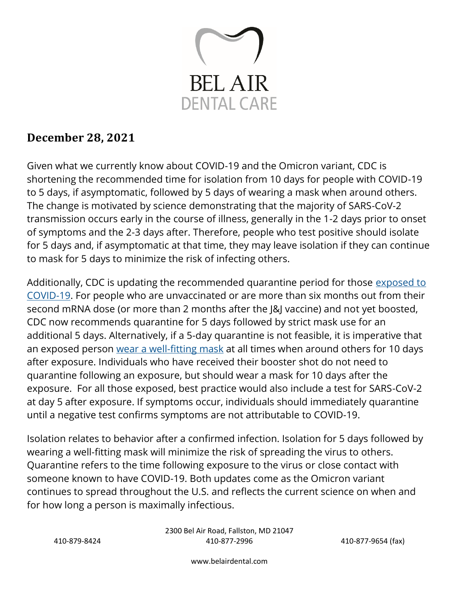

# **December 28, 2021**

Given what we currently know about COVID-19 and the Omicron variant, CDC is shortening the recommended time for isolation from 10 days for people with COVID-19 to 5 days, if asymptomatic, followed by 5 days of wearing a mask when around others. The change is motivated by science demonstrating that the majority of SARS-CoV-2 transmission occurs early in the course of illness, generally in the 1-2 days prior to onset of symptoms and the 2-3 days after. Therefore, people who test positive should isolate for 5 days and, if asymptomatic at that time, they may leave isolation if they can continue to mask for 5 days to minimize the risk of infecting others.

Additionally, CDC is updating the recommended quarantine period for those [exposed to](https://www.cdc.gov/coronavirus/2019-ncov/your-health/quarantine-isolation.html#closecontact)  [COVID-19.](https://www.cdc.gov/coronavirus/2019-ncov/your-health/quarantine-isolation.html#closecontact) For people who are unvaccinated or are more than six months out from their second mRNA dose (or more than 2 months after the J&J vaccine) and not yet boosted, CDC now recommends quarantine for 5 days followed by strict mask use for an additional 5 days. Alternatively, if a 5-day quarantine is not feasible, it is imperative that an exposed person [wear a well-fitting mask](https://www.cdc.gov/coronavirus/2019-ncov/your-health/effective-masks.html) at all times when around others for 10 days after exposure. Individuals who have received their booster shot do not need to quarantine following an exposure, but should wear a mask for 10 days after the exposure. For all those exposed, best practice would also include a test for SARS-CoV-2 at day 5 after exposure. If symptoms occur, individuals should immediately quarantine until a negative test confirms symptoms are not attributable to COVID-19.

Isolation relates to behavior after a confirmed infection. Isolation for 5 days followed by wearing a well-fitting mask will minimize the risk of spreading the virus to others. Quarantine refers to the time following exposure to the virus or close contact with someone known to have COVID-19. Both updates come as the Omicron variant continues to spread throughout the U.S. and reflects the current science on when and for how long a person is maximally infectious.

2300 Bel Air Road, Fallston, MD 21047 410-879-8424 410-877-2996 410-877-9654 (fax)

www.belairdental.com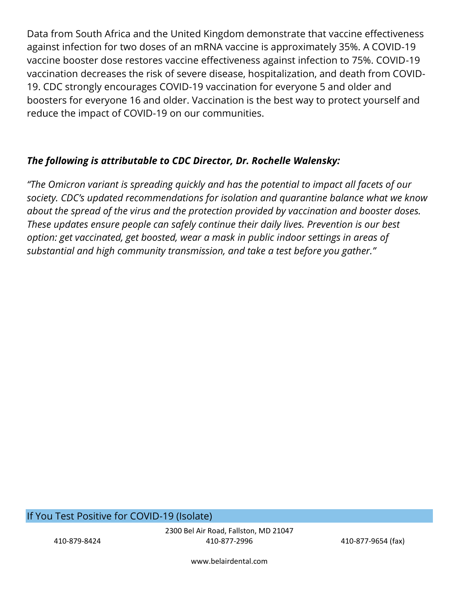Data from South Africa and the United Kingdom demonstrate that vaccine effectiveness against infection for two doses of an mRNA vaccine is approximately 35%. A COVID-19 vaccine booster dose restores vaccine effectiveness against infection to 75%. COVID-19 vaccination decreases the risk of severe disease, hospitalization, and death from COVID-19. CDC strongly encourages COVID-19 vaccination for everyone 5 and older and boosters for everyone 16 and older. Vaccination is the best way to protect yourself and reduce the impact of COVID-19 on our communities.

#### *The following is attributable to CDC Director, Dr. Rochelle Walensky:*

*"The Omicron variant is spreading quickly and has the potential to impact all facets of our society. CDC's updated recommendations for isolation and quarantine balance what we know about the spread of the virus and the protection provided by vaccination and booster doses. These updates ensure people can safely continue their daily lives. Prevention is our best option: get vaccinated, get boosted, wear a mask in public indoor settings in areas of substantial and high community transmission, and take a test before you gather."*

#### If You Test Positive for COVID-19 (Isolate)

2300 Bel Air Road, Fallston, MD 21047 410-879-8424 410-877-2996 410-877-9654 (fax)

www.belairdental.com